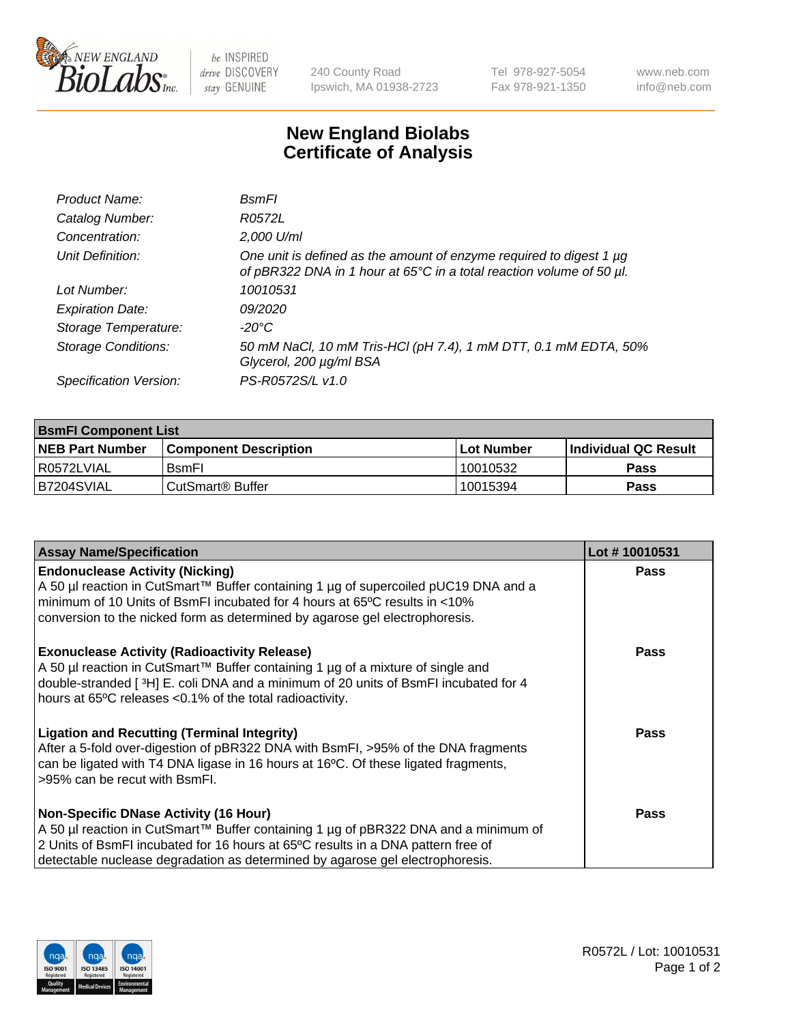

 $be$  INSPIRED drive DISCOVERY stay GENUINE

240 County Road Ipswich, MA 01938-2723 Tel 978-927-5054 Fax 978-921-1350 www.neb.com info@neb.com

## **New England Biolabs Certificate of Analysis**

| Product Name:              | <b>B</b> smFI                                                                                                                               |
|----------------------------|---------------------------------------------------------------------------------------------------------------------------------------------|
| Catalog Number:            | R0572L                                                                                                                                      |
| Concentration:             | 2,000 U/ml                                                                                                                                  |
| Unit Definition:           | One unit is defined as the amount of enzyme required to digest 1 µg<br>of pBR322 DNA in 1 hour at 65°C in a total reaction volume of 50 µl. |
| Lot Number:                | 10010531                                                                                                                                    |
| <b>Expiration Date:</b>    | 09/2020                                                                                                                                     |
| Storage Temperature:       | -20°C                                                                                                                                       |
| <b>Storage Conditions:</b> | 50 mM NaCl, 10 mM Tris-HCl (pH 7.4), 1 mM DTT, 0.1 mM EDTA, 50%<br>Glycerol, 200 µg/ml BSA                                                  |
| Specification Version:     | PS-R0572S/L v1.0                                                                                                                            |

| <b>BsmFI Component List</b> |                         |              |                             |  |
|-----------------------------|-------------------------|--------------|-----------------------------|--|
| <b>NEB Part Number</b>      | l Component Description | l Lot Number | <b>Individual QC Result</b> |  |
| I R0572LVIAL                | <b>B</b> smFI           | 10010532     | <b>Pass</b>                 |  |
| B7204SVIAL                  | l CutSmart® Buffer      | 10015394     | Pass                        |  |

| <b>Assay Name/Specification</b>                                                                                                                                                                                                                                                                          | Lot #10010531 |
|----------------------------------------------------------------------------------------------------------------------------------------------------------------------------------------------------------------------------------------------------------------------------------------------------------|---------------|
| <b>Endonuclease Activity (Nicking)</b><br>A 50 µl reaction in CutSmart™ Buffer containing 1 µg of supercoiled pUC19 DNA and a<br>minimum of 10 Units of BsmFI incubated for 4 hours at 65°C results in <10%<br>conversion to the nicked form as determined by agarose gel electrophoresis.               | <b>Pass</b>   |
| <b>Exonuclease Activity (Radioactivity Release)</b><br>A 50 µl reaction in CutSmart™ Buffer containing 1 µg of a mixture of single and<br>double-stranded [3H] E. coli DNA and a minimum of 20 units of BsmFI incubated for 4<br>hours at 65°C releases <0.1% of the total radioactivity.                | Pass          |
| <b>Ligation and Recutting (Terminal Integrity)</b><br>After a 5-fold over-digestion of pBR322 DNA with BsmFI, >95% of the DNA fragments<br>can be ligated with T4 DNA ligase in 16 hours at 16°C. Of these ligated fragments,<br>>95% can be recut with BsmFI.                                           | Pass          |
| <b>Non-Specific DNase Activity (16 Hour)</b><br>A 50 µl reaction in CutSmart™ Buffer containing 1 µg of pBR322 DNA and a minimum of<br>2 Units of BsmFI incubated for 16 hours at 65°C results in a DNA pattern free of<br>detectable nuclease degradation as determined by agarose gel electrophoresis. | Pass          |